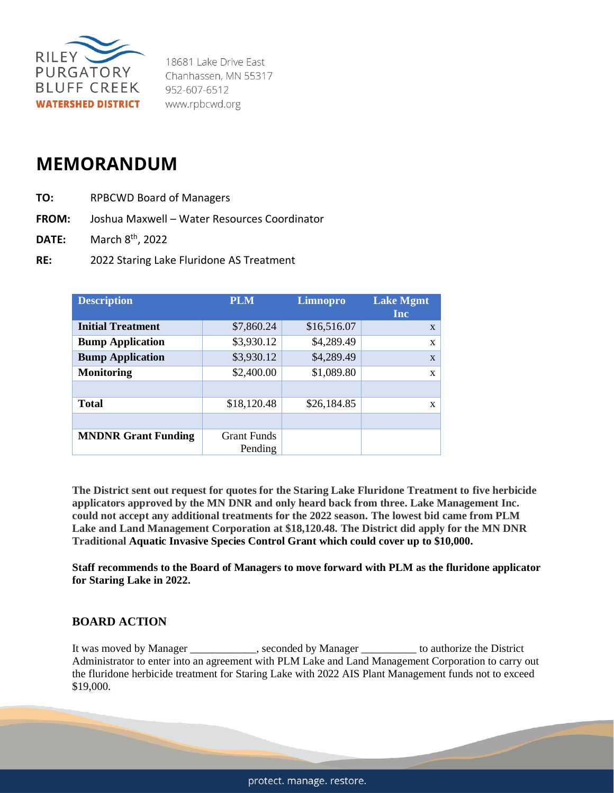

18681 Lake Drive East Chanhassen, MN 55317 952-607-6512 www.rpbcwd.org

## **MEMORANDUM**

- **TO:** RPBCWD Board of Managers
- **FROM:** Joshua Maxwell Water Resources Coordinator
- **DATE:** March 8th, 2022
- **RE:** 2022 Staring Lake Fluridone AS Treatment

| <b>Description</b>         | <b>PLM</b>         | Limnopro    | <b>Lake Mgmt</b><br>Inc |
|----------------------------|--------------------|-------------|-------------------------|
| <b>Initial Treatment</b>   | \$7,860.24         | \$16,516.07 | $\mathbf{x}$            |
| <b>Bump Application</b>    | \$3,930.12         | \$4,289.49  | X                       |
| <b>Bump Application</b>    | \$3,930.12         | \$4,289.49  | $\mathbf{x}$            |
| <b>Monitoring</b>          | \$2,400.00         | \$1,089.80  | X                       |
|                            |                    |             |                         |
| <b>Total</b>               | \$18,120.48        | \$26,184.85 | X                       |
|                            |                    |             |                         |
| <b>MNDNR Grant Funding</b> | <b>Grant Funds</b> |             |                         |
|                            | Pending            |             |                         |

**The District sent out request for quotes for the Staring Lake Fluridone Treatment to five herbicide applicators approved by the MN DNR and only heard back from three. Lake Management Inc. could not accept any additional treatments for the 2022 season. The lowest bid came from PLM Lake and Land Management Corporation at \$18,120.48. The District did apply for the MN DNR Traditional Aquatic Invasive Species Control Grant which could cover up to \$10,000.**

**Staff recommends to the Board of Managers to move forward with PLM as the fluridone applicator for Staring Lake in 2022.** 

## **BOARD ACTION**

It was moved by Manager \_\_\_\_\_\_\_\_\_\_\_\_, seconded by Manager \_\_\_\_\_\_\_\_\_\_ to authorize the District Administrator to enter into an agreement with PLM Lake and Land Management Corporation to carry out the fluridone herbicide treatment for Staring Lake with 2022 AIS Plant Management funds not to exceed \$19,000.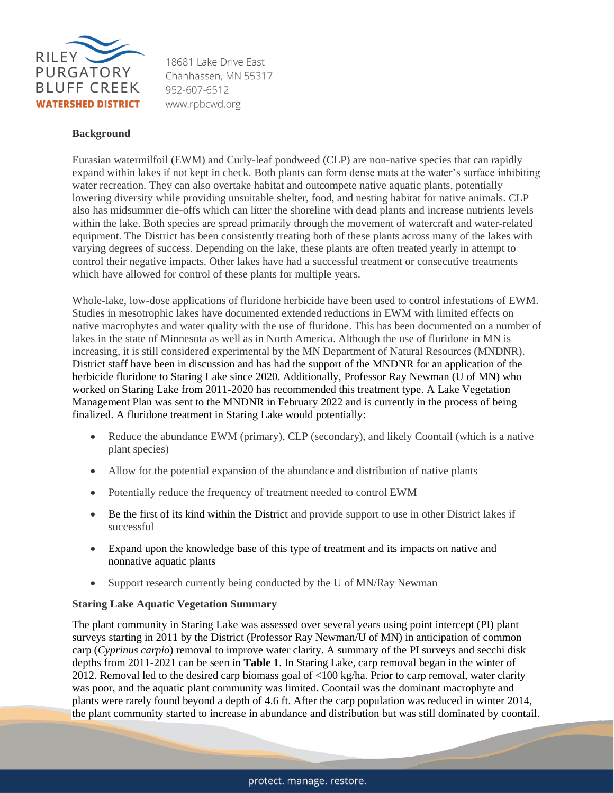

18681 Lake Drive Fast Chanhassen. MN 55317 952-607-6512 www.rpbcwd.org

## **Background**

Eurasian watermilfoil (EWM) and Curly-leaf pondweed (CLP) are non-native species that can rapidly expand within lakes if not kept in check. Both plants can form dense mats at the water's surface inhibiting water recreation. They can also overtake habitat and outcompete native aquatic plants, potentially lowering diversity while providing unsuitable shelter, food, and nesting habitat for native animals. CLP also has midsummer die-offs which can litter the shoreline with dead plants and increase nutrients levels within the lake. Both species are spread primarily through the movement of watercraft and water-related equipment. The District has been consistently treating both of these plants across many of the lakes with varying degrees of success. Depending on the lake, these plants are often treated yearly in attempt to control their negative impacts. Other lakes have had a successful treatment or consecutive treatments which have allowed for control of these plants for multiple years.

Whole-lake, low-dose applications of fluridone herbicide have been used to control infestations of EWM. Studies in mesotrophic lakes have documented extended reductions in EWM with limited effects on native macrophytes and water quality with the use of fluridone. This has been documented on a number of lakes in the state of Minnesota as well as in North America. Although the use of fluridone in MN is increasing, it is still considered experimental by the MN Department of Natural Resources (MNDNR). District staff have been in discussion and has had the support of the MNDNR for an application of the herbicide fluridone to Staring Lake since 2020. Additionally, Professor Ray Newman (U of MN) who worked on Staring Lake from 2011-2020 has recommended this treatment type. A Lake Vegetation Management Plan was sent to the MNDNR in February 2022 and is currently in the process of being finalized. A fluridone treatment in Staring Lake would potentially:

- Reduce the abundance EWM (primary), CLP (secondary), and likely Coontail (which is a native plant species)
- Allow for the potential expansion of the abundance and distribution of native plants
- Potentially reduce the frequency of treatment needed to control EWM
- Be the first of its kind within the District and provide support to use in other District lakes if successful
- Expand upon the knowledge base of this type of treatment and its impacts on native and nonnative aquatic plants
- Support research currently being conducted by the U of MN/Ray Newman

## **Staring Lake Aquatic Vegetation Summary**

The plant community in Staring Lake was assessed over several years using point intercept (PI) plant surveys starting in 2011 by the District (Professor Ray Newman/U of MN) in anticipation of common carp (*Cyprinus carpio*) removal to improve water clarity. A summary of the PI surveys and secchi disk depths from 2011-2021 can be seen in **Table 1**. In Staring Lake, carp removal began in the winter of 2012. Removal led to the desired carp biomass goal of <100 kg/ha. Prior to carp removal, water clarity was poor, and the aquatic plant community was limited. Coontail was the dominant macrophyte and plants were rarely found beyond a depth of 4.6 ft. After the carp population was reduced in winter 2014, the plant community started to increase in abundance and distribution but was still dominated by coontail.